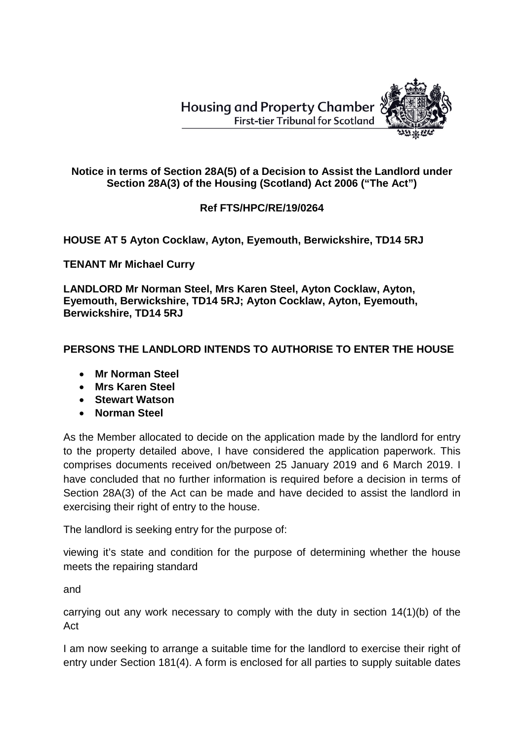**Housing and Property Chamber First-tier Tribunal for Scotland** 



## **Notice in terms of Section 28A(5) of a Decision to Assist the Landlord under Section 28A(3) of the Housing (Scotland) Act 2006 ("The Act")**

## **Ref FTS/HPC/RE/19/0264**

**HOUSE AT 5 Ayton Cocklaw, Ayton, Eyemouth, Berwickshire, TD14 5RJ**

**TENANT Mr Michael Curry**

**LANDLORD Mr Norman Steel, Mrs Karen Steel, Ayton Cocklaw, Ayton, Eyemouth, Berwickshire, TD14 5RJ; Ayton Cocklaw, Ayton, Eyemouth, Berwickshire, TD14 5RJ**

## **PERSONS THE LANDLORD INTENDS TO AUTHORISE TO ENTER THE HOUSE**

- **Mr Norman Steel**
- **Mrs Karen Steel**
- **Stewart Watson**
- **Norman Steel**

As the Member allocated to decide on the application made by the landlord for entry to the property detailed above, I have considered the application paperwork. This comprises documents received on/between 25 January 2019 and 6 March 2019. I have concluded that no further information is required before a decision in terms of Section 28A(3) of the Act can be made and have decided to assist the landlord in exercising their right of entry to the house.

The landlord is seeking entry for the purpose of:

viewing it's state and condition for the purpose of determining whether the house meets the repairing standard

and

carrying out any work necessary to comply with the duty in section 14(1)(b) of the Act

I am now seeking to arrange a suitable time for the landlord to exercise their right of entry under Section 181(4). A form is enclosed for all parties to supply suitable dates